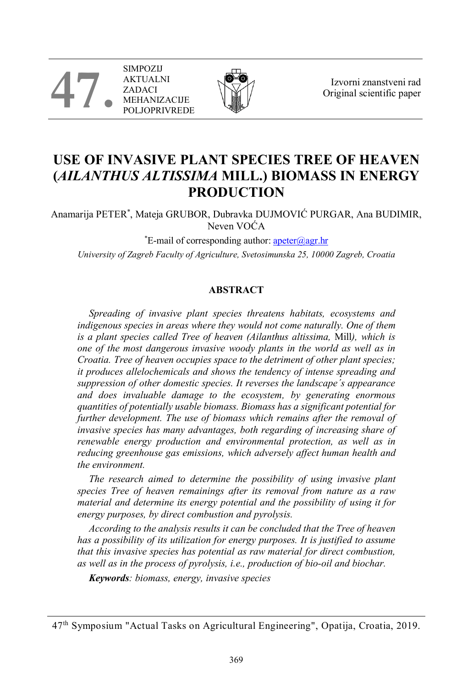**47.** SIMPOZIJ AKTUALNI ZADACI MEHANIZACIJE **JOPRIVREDE** 



Izvorni znanstveni rad Original scientific paper

# **USE OF INVASIVE PLANT SPECIES TREE OF HEAVEN (***AILANTHUS ALTISSIMA* **MILL.) BIOMASS IN ENERGY PRODUCTION**

Anamarija PETER\* , Mateja GRUBOR, Dubravka DUJMOVIĆ PURGAR, Ana BUDIMIR, Neven VOĆA

\*E-mail of corresponding author: **apeter@agr.hr** *University of Zagreb Faculty of Agriculture, Svetosimunska 25, 10000 Zagreb, Croatia*

## **ABSTRACT**

*Spreading of invasive plant species threatens habitats, ecosystems and*  indigenous species in areas where they would not come naturally. One of them *is a plant species called Tree of heaven (Ailanthus altissima,* Mill*), which is one of the most dangerous invasive woody plants in the world as well as in Croatia. Tree of heaven occupies space to the detriment of other plant species; it produces allelochemicals and shows the tendency of intense spreading and suppression of other domestic species. It reverses the landscape´s appearance and does invaluable damage to the ecosystem, by generating enormous quantities of potentially usable biomass. Biomass has a significant potential for further development. The use of biomass which remains after the removal of invasive species has many advantages, both regarding of increasing share of renewable energy production and environmental protection, as well as in reducing greenhouse gas emissions, which adversely affect human health and the environment.*

*The research aimed to determine the possibility of using invasive plant species Tree of heaven remainings after its removal from nature as a raw material and determine its energy potential and the possibility of using it for energy purposes, by direct combustion and pyrolysis.*

*According to the analysis results it can be concluded that the Tree of heaven has a possibility of its utilization for energy purposes. It is justified to assume that this invasive species has potential as raw material for direct combustion, as well as in the process of pyrolysis, i.e., production of bio-oil and biochar.*

*Keywords: biomass, energy, invasive species*

<sup>47</sup>th Symposium "Actual Tasks on Agricultural Engineering", Opatija, Croatia, 2019.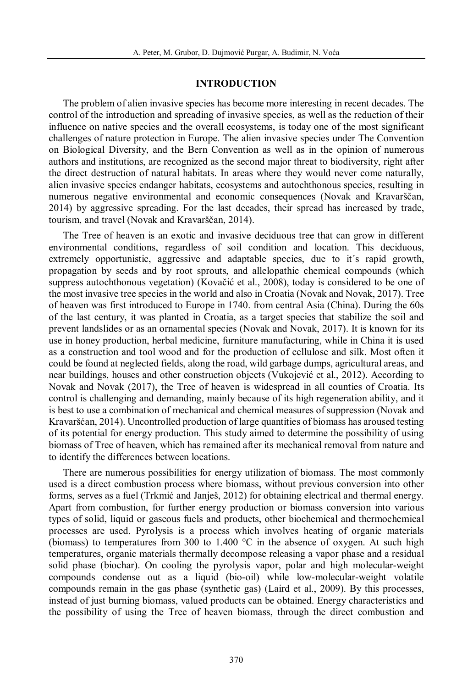#### **INTRODUCTION**

The problem of alien invasive species has become more interesting in recent decades. The control of the introduction and spreading of invasive species, as well as the reduction of their influence on native species and the overall ecosystems, is today one of the most significant challenges of nature protection in Europe. The alien invasive species under The Convention on Biological Diversity, and the Bern Convention as well as in the opinion of numerous authors and institutions, are recognized as the second major threat to biodiversity, right after the direct destruction of natural habitats. In areas where they would never come naturally, alien invasive species endanger habitats, ecosystems and autochthonous species, resulting in numerous negative environmental and economic consequences (Novak and Kravarščan, 2014) by aggressive spreading. For the last decades, their spread has increased by trade, tourism, and travel (Novak and Kravarščan, 2014).

The Tree of heaven is an exotic and invasive deciduous tree that can grow in different environmental conditions, regardless of soil condition and location. This deciduous, extremely opportunistic, aggressive and adaptable species, due to it´s rapid growth, propagation by seeds and by root sprouts, and allelopathic chemical compounds (which suppress autochthonous vegetation) (Kovačić et al., 2008), today is considered to be one of the most invasive tree species in the world and also in Croatia (Novak and Novak, 2017). Tree of heaven was first introduced to Europe in 1740. from central Asia (China). During the 60s of the last century, it was planted in Croatia, as a target species that stabilize the soil and prevent landslides or as an ornamental species (Novak and Novak, 2017). It is known for its use in honey production, herbal medicine, furniture manufacturing, while in China it is used as a construction and tool wood and for the production of cellulose and silk. Most often it could be found at neglected fields, along the road, wild garbage dumps, agricultural areas, and near buildings, houses and other construction objects (Vukojević et al., 2012). According to Novak and Novak (2017), the Tree of heaven is widespread in all counties of Croatia. Its control is challenging and demanding, mainly because of its high regeneration ability, and it is best to use a combination of mechanical and chemical measures of suppression (Novak and Kravaršćan, 2014). Uncontrolled production of large quantities of biomass has aroused testing of its potential for energy production. This study aimed to determine the possibility of using biomass of Tree of heaven, which has remained after its mechanical removal from nature and to identify the differences between locations.

There are numerous possibilities for energy utilization of biomass. The most commonly used is a direct combustion process where biomass, without previous conversion into other forms, serves as a fuel (Trkmić and Janješ, 2012) for obtaining electrical and thermal energy. Apart from combustion, for further energy production or biomass conversion into various types of solid, liquid or gaseous fuels and products, other biochemical and thermochemical processes are used. Pyrolysis is a process which involves heating of organic materials (biomass) to temperatures from 300 to 1.400  $\degree$ C in the absence of oxygen. At such high temperatures, organic materials thermally decompose releasing a vapor phase and a residual solid phase (biochar). On cooling the pyrolysis vapor, polar and high molecular-weight compounds condense out as a liquid (bio-oil) while low-molecular-weight volatile compounds remain in the gas phase (synthetic gas) (Laird et al., 2009). By this processes, instead of just burning biomass, valued products can be obtained. Energy characteristics and the possibility of using the Tree of heaven biomass, through the direct combustion and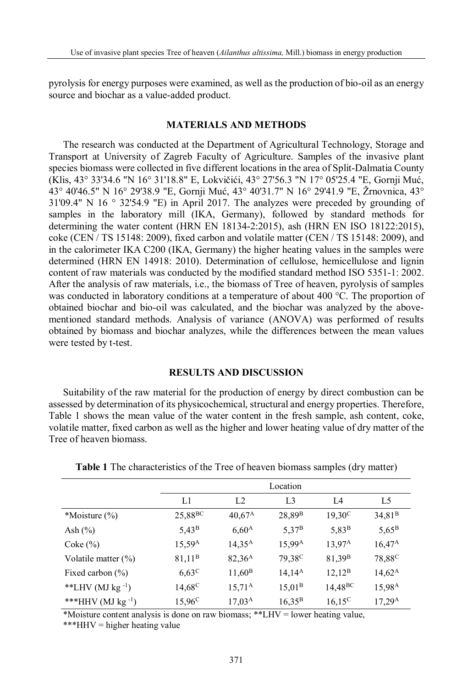pyrolysis for energy purposes were examined, as well as the production of bio-oil as an energy source and biochar as a value-added product.

## **MATERIALS AND METHODS**

The research was conducted at the Department of Agricultural Technology, Storage and Transport at University of Zagreb Faculty of Agriculture. Samples of the invasive plant species biomass were collected in five different locations in the area of Split-Dalmatia County (Klis, 43° 33'34.6 "N 16° 31'18.8" E, Lokvičići, 43° 27'56.3 "N 17° 05'25.4 "E, Gornji Muć, 43° 40'46.5" N 16° 29'38.9 "E, Gornji Muć, 43° 40'31.7" N 16° 29'41.9 "E, Žrnovnica, 43°  $31'09.4''$  N  $16 \degree 32'54.9$  "E) in April 2017. The analyzes were preceded by grounding of samples in the laboratory mill (IKA, Germany), followed by standard methods for determining the water content (HRN EN 18134-2:2015), ash (HRN EN ISO 18122:2015), coke (CEN / TS 15148: 2009), fixed carbon and volatile matter (CEN / TS 15148: 2009), and in the calorimeter IKA C200 (IKA, Germany) the higher heating values in the samples were determined (HRN EN 14918: 2010). Determination of cellulose, hemicellulose and lignin content of raw materials was conducted by the modified standard method ISO 5351-1: 2002. After the analysis of raw materials, i.e., the biomass of Tree of heaven, pyrolysis of samples was conducted in laboratory conditions at a temperature of about 400 °C. The proportion of obtained biochar and bio-oil was calculated, and the biochar was analyzed by the abovementioned standard methods. Analysis of variance (ANOVA) was performed of results obtained by biomass and biochar analyzes, while the differences between the mean values were tested by t-test.

## **RESULTS AND DISCUSSION**

Suitability of the raw material for the production of energy by direct combustion can be assessed by determination of its physicochemical, structural and energy properties. Therefore, Table 1 shows the mean value of the water content in the fresh sample, ash content, coke, volatile matter, fixed carbon as well as the higher and lower heating value of dry matter of the Tree of heaven biomass.

|                         | Location            |                 |                    |                    |                    |  |  |
|-------------------------|---------------------|-----------------|--------------------|--------------------|--------------------|--|--|
|                         | L1                  | L2              | L <sub>3</sub>     | L4                 | L5                 |  |  |
| *Moisture $(\% )$       | 25,88 <sup>BC</sup> | $40,67^{\rm A}$ | $28,89^B$          | $19,30^{\circ}$    | 34,81 <sup>B</sup> |  |  |
| Ash $(\%)$              | $5,43^{\rm B}$      | $6,60^{\rm A}$  | $5,37^{\rm B}$     | $5,83^B$           | $5,65^{\rm B}$     |  |  |
| $\text{Coke}(\%)$       | $15,59^{\rm A}$     | $14,35^{\rm A}$ | $15,99^{\rm A}$    | $13.97^{\rm A}$    | $16,47^{\rm A}$    |  |  |
| Volatile matter $(\%)$  | 81,11 <sup>B</sup>  | $82,36^{\rm A}$ | 79,38 <sup>C</sup> | 81,39 <sup>B</sup> | 78,88 <sup>C</sup> |  |  |
| Fixed carbon $(\% )$    | $6,63^{\circ}$      | $11,60^{\rm B}$ | $14,14^{\rm A}$    | $12,12^B$          | $14,62^{\rm A}$    |  |  |
| **LHV (MJ kg $^{-1}$ )  | $14,68^{\circ}$     | $15,71^{\rm A}$ | $15,01^{\rm B}$    | $14,48^{BC}$       | 15,98 <sup>A</sup> |  |  |
| ***HHV (MJ kg $^{-1}$ ) | $15,96^{\circ}$     | $17,03^{\rm A}$ | $16,35^{\rm B}$    | $16,15^{\circ}$    | $17,29^{\rm A}$    |  |  |

**Table 1** The characteristics of the Tree of heaven biomass samples (dry matter)

\*Moisture content analysis is done on raw biomass; \*\*LHV = lower heating value,

\*\*\*HHV = higher heating value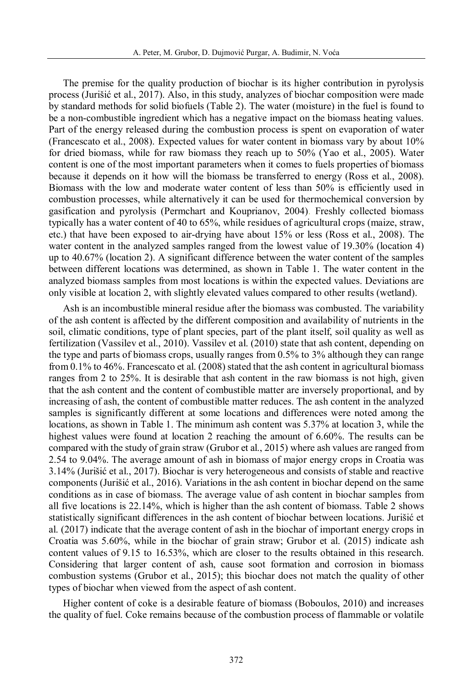The premise for the quality production of biochar is its higher contribution in pyrolysis process (Jurišić et al., 2017). Also, in this study, analyzes of biochar composition were made by standard methods for solid biofuels (Table 2). The water (moisture) in the fuel is found to be a non-combustible ingredient which has a negative impact on the biomass heating values. Part of the energy released during the combustion process is spent on evaporation of water (Francescato et al., 2008). Expected values for water content in biomass vary by about 10% for dried biomass, while for raw biomass they reach up to 50% (Yao et al., 2005). Water content is one of the most important parameters when it comes to fuels properties of biomass because it depends on it how will the biomass be transferred to energy (Ross et al., 2008). Biomass with the low and moderate water content of less than 50% is efficiently used in combustion processes, while alternatively it can be used for thermochemical conversion by gasification and pyrolysis (Permchart and Kouprianov, 2004). Freshly collected biomass typically has a water content of 40 to 65%, while residues of agricultural crops (maize, straw, etc.) that have been exposed to air-drying have about 15% or less (Ross et al., 2008). The water content in the analyzed samples ranged from the lowest value of 19.30% (location 4) up to 40.67% (location 2). A significant difference between the water content of the samples between different locations was determined, as shown in Table 1. The water content in the analyzed biomass samples from most locations is within the expected values. Deviations are only visible at location 2, with slightly elevated values compared to other results (wetland).

Ash is an incombustible mineral residue after the biomass was combusted. The variability of the ash content is affected by the different composition and availability of nutrients in the soil, climatic conditions, type of plant species, part of the plant itself, soil quality as well as fertilization (Vassilev et al., 2010). Vassilev et al. (2010) state that ash content, depending on the type and parts of biomass crops, usually ranges from 0.5% to 3% although they can range from 0.1% to 46%. Francescato et al. (2008) stated that the ash content in agricultural biomass ranges from 2 to 25%. It is desirable that ash content in the raw biomass is not high, given that the ash content and the content of combustible matter are inversely proportional, and by increasing of ash, the content of combustible matter reduces. The ash content in the analyzed samples is significantly different at some locations and differences were noted among the locations, as shown in Table 1. The minimum ash content was 5.37% at location 3, while the highest values were found at location 2 reaching the amount of 6.60%. The results can be compared with the study of grain straw (Grubor et al., 2015) where ash values are ranged from 2.54 to 9.04%. The average amount of ash in biomass of major energy crops in Croatia was 3.14% (Jurišić et al., 2017). Biochar is very heterogeneous and consists of stable and reactive components (Jurišić et al., 2016). Variations in the ash content in biochar depend on the same conditions as in case of biomass. The average value of ash content in biochar samples from all five locations is 22.14%, which is higher than the ash content of biomass. Table 2 shows statistically significant differences in the ash content of biochar between locations. Jurišić et al. (2017) indicate that the average content of ash in the biochar of important energy crops in Croatia was 5.60%, while in the biochar of grain straw; Grubor et al. (2015) indicate ash content values of 9.15 to 16.53%, which are closer to the results obtained in this research. Considering that larger content of ash, cause soot formation and corrosion in biomass combustion systems (Grubor et al., 2015); this biochar does not match the quality of other types of biochar when viewed from the aspect of ash content.

Higher content of coke is a desirable feature of biomass (Boboulos, 2010) and increases the quality of fuel. Coke remains because of the combustion process of flammable or volatile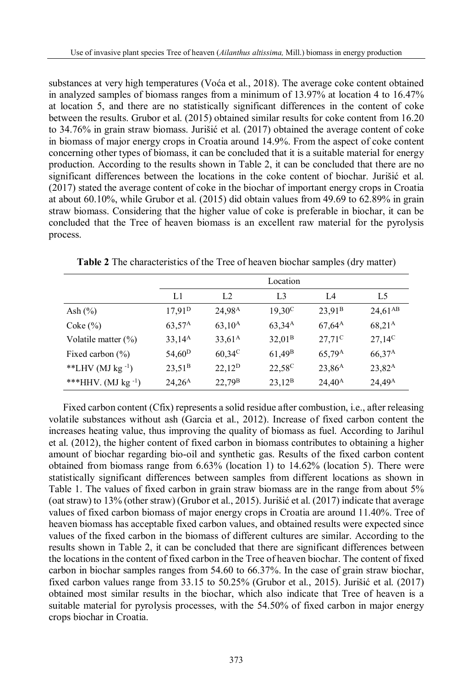substances at very high temperatures (Voća et al., 2018). The average coke content obtained in analyzed samples of biomass ranges from a minimum of 13.97% at location 4 to 16.47% at location 5, and there are no statistically significant differences in the content of coke between the results. Grubor et al. (2015) obtained similar results for coke content from 16.20 to 34.76% in grain straw biomass. Jurišić et al. (2017) obtained the average content of coke in biomass of major energy crops in Croatia around 14.9%. From the aspect of coke content concerning other types of biomass, it can be concluded that it is a suitable material for energy production. According to the results shown in Table 2, it can be concluded that there are no significant differences between the locations in the coke content of biochar. Jurišić et al. (2017) stated the average content of coke in the biochar of important energy crops in Croatia at about 60.10%, while Grubor et al. (2015) did obtain values from 49.69 to 62.89% in grain straw biomass. Considering that the higher value of coke is preferable in biochar, it can be concluded that the Tree of heaven biomass is an excellent raw material for the pyrolysis process.

|                          | Location           |                    |                    |                    |                    |  |  |
|--------------------------|--------------------|--------------------|--------------------|--------------------|--------------------|--|--|
|                          | L1                 | L <sub>2</sub>     | L <sub>3</sub>     | L4                 | L5                 |  |  |
| Ash $(\%)$               | $17,91^{\rm D}$    | 24.98 <sup>A</sup> | $19,30^{\circ}$    | 23.91 <sup>B</sup> | $24,61^{AB}$       |  |  |
| $\csc(\%)$               | $63,57^{\rm A}$    | $63,10^{\rm A}$    | $63,34^{\rm A}$    | $67,64^{\rm A}$    | 68,21 <sup>A</sup> |  |  |
| Volatile matter $(\%)$   | $33,14^A$          | $33,61^{\rm A}$    | 32,01 <sup>B</sup> | $27,71^{\circ}$    | $27,14^C$          |  |  |
| Fixed carbon $(\% )$     | 54,60 <sup>D</sup> | $60,34^{\circ}$    | $61,49^B$          | $65,79^{\rm A}$    | $66,37^{\rm A}$    |  |  |
| **LHV (MJ kg $^{-1}$ )   | $23,51^{\rm B}$    | $22,12^{\rm D}$    | 22,58 <sup>C</sup> | $23,86^{\rm A}$    | $23,82^{\rm A}$    |  |  |
| ***HHV. (MJ kg $^{-1}$ ) | $24,26^{\rm A}$    | $22,79^{\rm B}$    | $23,12^B$          | $24,40^{\rm A}$    | $24,49^{\rm A}$    |  |  |

**Table 2** The characteristics of the Tree of heaven biochar samples (dry matter)

Fixed carbon content (Cfix) represents a solid residue after combustion, i.e., after releasing volatile substances without ash (Garcia et al., 2012). Increase of fixed carbon content the increases heating value, thus improving the quality of biomass as fuel. According to Jarihul et al. (2012), the higher content of fixed carbon in biomass contributes to obtaining a higher amount of biochar regarding bio-oil and synthetic gas. Results of the fixed carbon content obtained from biomass range from 6.63% (location 1) to 14.62% (location 5). There were statistically significant differences between samples from different locations as shown in Table 1. The values of fixed carbon in grain straw biomass are in the range from about 5% (oat straw) to 13% (other straw) (Grubor et al., 2015). Jurišić et al. (2017) indicate that average values of fixed carbon biomass of major energy crops in Croatia are around 11.40%. Tree of heaven biomass has acceptable fixed carbon values, and obtained results were expected since values of the fixed carbon in the biomass of different cultures are similar. According to the results shown in Table 2, it can be concluded that there are significant differences between the locations in the content of fixed carbon in the Tree of heaven biochar. The content of fixed carbon in biochar samples ranges from 54.60 to 66.37%. In the case of grain straw biochar, fixed carbon values range from 33.15 to 50.25% (Grubor et al., 2015). Jurišić et al. (2017) obtained most similar results in the biochar, which also indicate that Tree of heaven is a suitable material for pyrolysis processes, with the 54.50% of fixed carbon in major energy crops biochar in Croatia.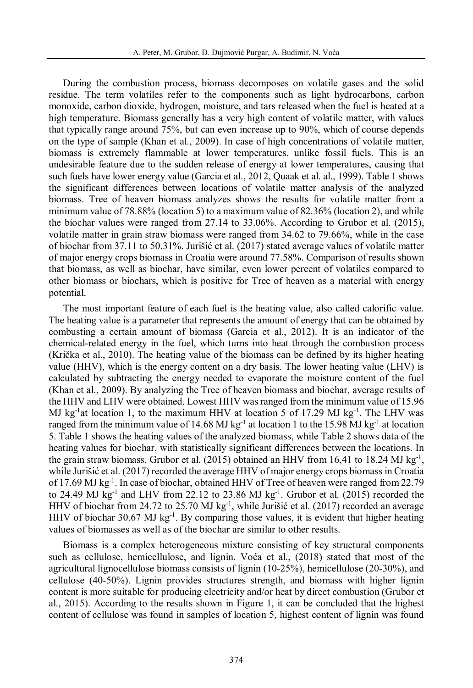During the combustion process, biomass decomposes on volatile gases and the solid residue. The term volatiles refer to the components such as light hydrocarbons, carbon monoxide, carbon dioxide, hydrogen, moisture, and tars released when the fuel is heated at a high temperature. Biomass generally has a very high content of volatile matter, with values that typically range around 75%, but can even increase up to 90%, which of course depends on the type of sample (Khan et al., 2009). In case of high concentrations of volatile matter, biomass is extremely flammable at lower temperatures, unlike fossil fuels. This is an undesirable feature due to the sudden release of energy at lower temperatures, causing that such fuels have lower energy value (Garcia et al., 2012, Quaak et al. al., 1999). Table 1 shows the significant differences between locations of volatile matter analysis of the analyzed biomass. Tree of heaven biomass analyzes shows the results for volatile matter from a minimum value of  $78.88\%$  (location 5) to a maximum value of  $82.36\%$  (location 2), and while the biochar values were ranged from 27.14 to 33.06%. According to Grubor et al. (2015), volatile matter in grain straw biomass were ranged from 34.62 to 79.66%, while in the case of biochar from 37.11 to 50.31%. Jurišić et al. (2017) stated average values of volatile matter of major energy crops biomass in Croatia were around 77.58%. Comparison of results shown that biomass, as well as biochar, have similar, even lower percent of volatiles compared to other biomass or biochars, which is positive for Tree of heaven as a material with energy potential.

The most important feature of each fuel is the heating value, also called calorific value. The heating value is a parameter that represents the amount of energy that can be obtained by combusting a certain amount of biomass (Garcia et al., 2012). It is an indicator of the chemical-related energy in the fuel, which turns into heat through the combustion process (Krička et al., 2010). The heating value of the biomass can be defined by its higher heating value (HHV), which is the energy content on a dry basis. The lower heating value (LHV) is calculated by subtracting the energy needed to evaporate the moisture content of the fuel (Khan et al., 2009). By analyzing the Tree of heaven biomass and biochar, average results of the HHV and LHV were obtained. Lowest HHV was ranged from the minimum value of 15.96 MJ kg<sup>-1</sup>at location 1, to the maximum HHV at location 5 of 17.29 MJ kg<sup>-1</sup>. The LHV was ranged from the minimum value of 14.68 MJ kg<sup>-1</sup> at location 1 to the 15.98 MJ kg<sup>-1</sup> at location 5. Table 1 shows the heating values of the analyzed biomass, while Table 2 shows data of the heating values for biochar, with statistically significant differences between the locations. In the grain straw biomass, Grubor et al. (2015) obtained an HHV from 16,41 to 18.24 MJ kg<sup>-1</sup>, while Jurišić et al. (2017) recorded the average HHV of major energy crops biomass in Croatia of 17.69 MJ kg<sup>-1</sup>. In case of biochar, obtained HHV of Tree of heaven were ranged from 22.79 to 24.49 MJ  $kg^{-1}$  and LHV from 22.12 to 23.86 MJ  $kg^{-1}$ . Grubor et al. (2015) recorded the HHV of biochar from 24.72 to 25.70 MJ kg<sup>-1</sup>, while Jurišić et al. (2017) recorded an average HHV of biochar 30.67 MJ kg<sup>-1</sup>. By comparing those values, it is evident that higher heating values of biomasses as well as of the biochar are similar to other results.

Biomass is a complex heterogeneous mixture consisting of key structural components such as cellulose, hemicellulose, and lignin. Voća et al., (2018) stated that most of the agricultural lignocellulose biomass consists of lignin (10-25%), hemicellulose (20-30%), and cellulose (40-50%). Lignin provides structures strength, and biomass with higher lignin content is more suitable for producing electricity and/or heat by direct combustion (Grubor et al., 2015). According to the results shown in Figure 1, it can be concluded that the highest content of cellulose was found in samples of location 5, highest content of lignin was found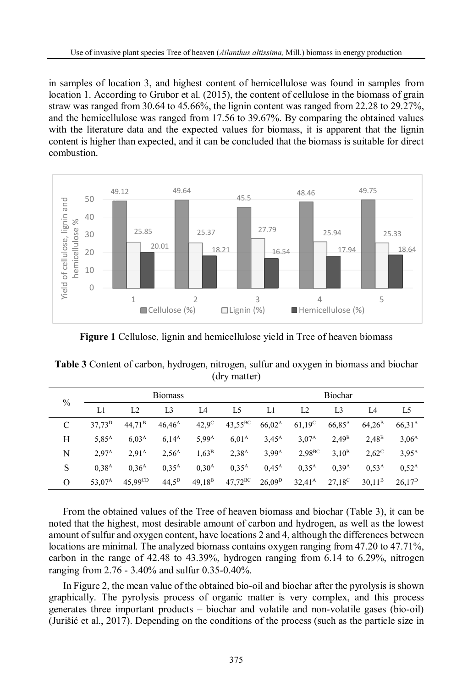in samples of location 3, and highest content of hemicellulose was found in samples from location 1. According to Grubor et al. (2015), the content of cellulose in the biomass of grain straw was ranged from 30.64 to 45.66%, the lignin content was ranged from 22.28 to 29.27%, and the hemicellulose was ranged from 17.56 to 39.67%. By comparing the obtained values with the literature data and the expected values for biomass, it is apparent that the lignin content is higher than expected, and it can be concluded that the biomass is suitable for direct combustion.



**Figure 1** Cellulose, lignin and hemicellulose yield in Tree of heaven biomass

| $\frac{0}{0}$ | <b>Biomass</b>     |                     |                   | <b>Biochar</b>    |                   |                   |                    |                    |                   |                    |
|---------------|--------------------|---------------------|-------------------|-------------------|-------------------|-------------------|--------------------|--------------------|-------------------|--------------------|
|               | L1                 | L <sub>2</sub>      | L <sub>3</sub>    | I A               | L5                | L1.               | L <sub>2</sub>     | L <sub>3</sub>     | I <sub>4</sub>    | L <sub>5</sub>     |
| C             | 37.73 <sup>D</sup> | 44.71 <sup>B</sup>  | $46,46^{\rm A}$   | $42.9^\circ$      | $43,55^{\rm BC}$  | $66,02^{\rm A}$   | $61,19^{\circ}$    | 66,85 <sup>A</sup> | $64.26^{\rm B}$   | $66,31^{\rm A}$    |
| Н             | $5,85^{\rm A}$     | 6.03 <sup>A</sup>   | $6.14^{A}$        | $5,99^{\rm A}$    | 6.01 <sup>A</sup> | $3,45^{\rm A}$    | 3.07 <sup>A</sup>  | 2.49 <sup>B</sup>  | 2.48 <sup>B</sup> | 3,06 <sup>A</sup>  |
| N             | 2.97 <sup>A</sup>  | 2.91 <sup>A</sup>   | 2.56 <sup>A</sup> | $1,63^B$          | $2,38^{\rm A}$    | 3,99 <sup>A</sup> | 2.98 <sup>BC</sup> | 3.10 <sup>B</sup>  | $2,62^{\circ}$    | $3,95^{A}$         |
| S             | 0.38 <sup>A</sup>  | 0.36 <sup>A</sup>   | $0.35^{A}$        | 0.30 <sup>A</sup> | $0.35^{A}$        | $0.45^{\rm A}$    | $0.35^{A}$         | 0.39 <sup>A</sup>  | 0.53 <sup>A</sup> | $0.52^{\rm A}$     |
| Ο             | $53,07^A$          | $45,99^{\text{CD}}$ | $44.5^{\rm D}$    | $49,18^{B}$       | $47,72^{\rm BC}$  | $26,09^{\rm D}$   | $32,41^{\rm A}$    | $27.18^{\circ}$    | $30,11^B$         | 26.17 <sup>D</sup> |

**Table 3** Content of carbon, hydrogen, nitrogen, sulfur and oxygen in biomass and biochar (dry matter)

From the obtained values of the Tree of heaven biomass and biochar (Table 3), it can be noted that the highest, most desirable amount of carbon and hydrogen, as well as the lowest amount of sulfur and oxygen content, have locations 2 and 4, although the differences between locations are minimal. The analyzed biomass contains oxygen ranging from 47.20 to 47.71%, carbon in the range of 42.48 to 43.39%, hydrogen ranging from 6.14 to 6.29%, nitrogen ranging from 2.76 - 3.40% and sulfur 0.35-0.40%.

In Figure 2, the mean value of the obtained bio-oil and biochar after the pyrolysis is shown graphically. The pyrolysis process of organic matter is very complex, and this process generates three important products – biochar and volatile and non-volatile gases (bio-oil) (Jurišić et al., 2017). Depending on the conditions of the process (such as the particle size in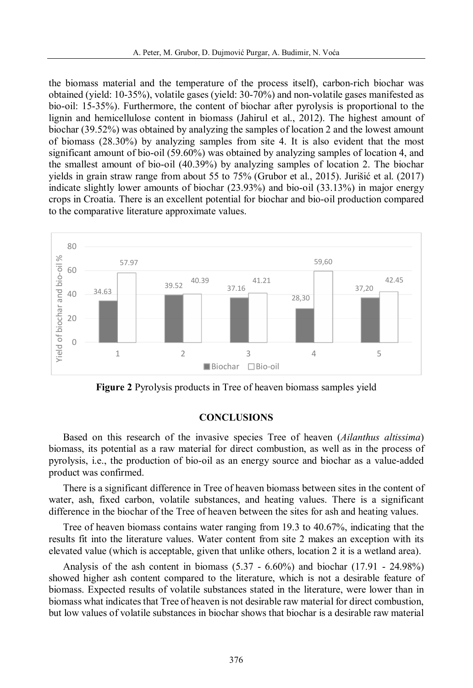the biomass material and the temperature of the process itself), carbon-rich biochar was obtained (yield: 10-35%), volatile gases (yield: 30-70%) and non-volatile gases manifested as bio-oil: 15-35%). Furthermore, the content of biochar after pyrolysis is proportional to the lignin and hemicellulose content in biomass (Jahirul et al., 2012). The highest amount of biochar (39.52%) was obtained by analyzing the samples of location 2 and the lowest amount of biomass (28.30%) by analyzing samples from site 4. It is also evident that the most significant amount of bio-oil (59.60%) was obtained by analyzing samples of location 4, and the smallest amount of bio-oil (40.39%) by analyzing samples of location 2. The biochar yields in grain straw range from about 55 to 75% (Grubor et al., 2015). Jurišić et al. (2017) indicate slightly lower amounts of biochar (23.93%) and bio-oil (33.13%) in major energy crops in Croatia. There is an excellent potential for biochar and bio-oil production compared to the comparative literature approximate values.



**Figure 2** Pyrolysis products in Tree of heaven biomass samples yield

## **CONCLUSIONS**

Based on this research of the invasive species Tree of heaven (*Ailanthus altissima*) biomass, its potential as a raw material for direct combustion, as well as in the process of pyrolysis, i.e., the production of bio-oil as an energy source and biochar as a value-added product was confirmed.

There is a significant difference in Tree of heaven biomass between sites in the content of water, ash, fixed carbon, volatile substances, and heating values. There is a significant difference in the biochar of the Tree of heaven between the sites for ash and heating values.

Tree of heaven biomass contains water ranging from 19.3 to 40.67%, indicating that the results fit into the literature values. Water content from site 2 makes an exception with its elevated value (which is acceptable, given that unlike others, location 2 it is a wetland area).

Analysis of the ash content in biomass (5.37 - 6.60%) and biochar (17.91 - 24.98%) showed higher ash content compared to the literature, which is not a desirable feature of biomass. Expected results of volatile substances stated in the literature, were lower than in biomass what indicates that Tree of heaven is not desirable raw material for direct combustion, but low values of volatile substances in biochar shows that biochar is a desirable raw material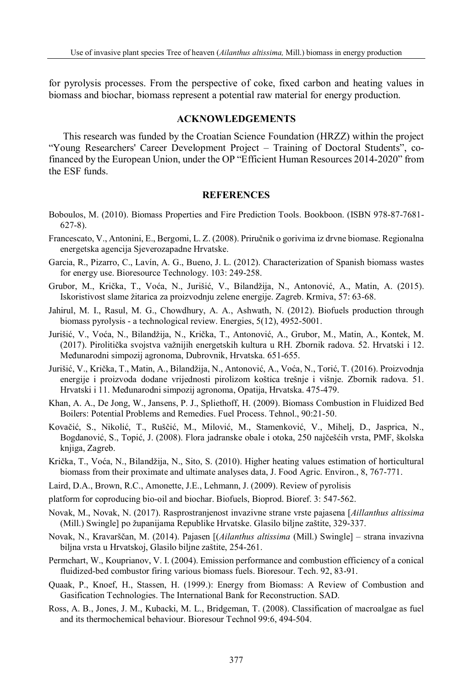for pyrolysis processes. From the perspective of coke, fixed carbon and heating values in biomass and biochar, biomass represent a potential raw material for energy production.

#### **ACKNOWLEDGEMENTS**

This research was funded by the Croatian Science Foundation (HRZZ) within the project "Young Researchers' Career Development Project – Training of Doctoral Students", cofinanced by the European Union, under the OP "Efficient Human Resources 2014-2020" from the ESF funds.

### **REFERENCES**

- Boboulos, M. (2010). Biomass Properties and Fire Prediction Tools. Bookboon. (ISBN 978-87-7681- 627-8).
- Francescato, V., Antonini, E., Bergomi, L. Z. (2008). Priručnik o gorivima iz drvne biomase. Regionalna energetska agencija Sjeverozapadne Hrvatske.
- Garcia, R., Pizarro, C., Lavín, A. G., Bueno, J. L. (2012). Characterization of Spanish biomass wastes for energy use. Bioresource Technology. 103: 249-258.
- Grubor, M., Krička, T., Voća, N., Jurišić, V., Bilandžija, N., Antonović, A., Matin, A. (2015). Iskoristivost slame žitarica za proizvodnju zelene energije. Zagreb. Krmiva, 57: 63-68.
- Jahirul, M. I., Rasul, M. G., Chowdhury, A. A., Ashwath, N. (2012). Biofuels production through biomass pyrolysis - a technological review. Energies, 5(12), 4952-5001.
- Jurišić, V., Voća, N., Bilandžija, N., Krička, T., Antonović, A., Grubor, M., Matin, A., Kontek, M. (2017). Pirolitička svojstva važnijih energetskih kultura u RH. Zbornik radova. 52. Hrvatski i 12. Međunarodni simpozij agronoma, Dubrovnik, Hrvatska. 651-655.
- Jurišić, V., Krička, T., Matin, A., Bilandžija, N., Antonović, A., Voća, N., Torić, T. (2016). Proizvodnja energije i proizvoda dodane vrijednosti pirolizom koštica trešnje i višnje. Zbornik radova. 51. Hrvatski i 11. Međunarodni simpozij agronoma, Opatija, Hrvatska. 475-479.
- Khan, A. A., De Jong, W., Jansens, P. J., Spliethoff, H. (2009). Biomass Combustion in Fluidized Bed Boilers: Potential Problems and Remedies. Fuel Process. Tehnol., 90:21-50.
- Kovačić, S., Nikolić, T., Ruščić, M., Milović, M., Stamenković, V., Mihelj, D., Jasprica, N., Bogdanović, S., Topić, J. (2008). Flora jadranske obale i otoka, 250 najčešćih vrsta, PMF, školska knjiga, Zagreb.
- Krička, T., Voća, N., Bilandžija, N., Sito, S. (2010). Higher heating values estimation of horticultural biomass from their proximate and ultimate analyses data, J. Food Agric. Environ., 8, 767-771.
- Laird, D.A., Brown, R.C., Amonette, J.E., Lehmann, J. (2009). Review of pyrolisis
- platform for coproducing bio-oil and biochar. Biofuels, Bioprod. Bioref. 3: 547-562.
- Novak, M., Novak, N. (2017). Rasprostranjenost invazivne strane vrste pajasena [*Aillanthus altissima* (Mill.) Swingle] po županijama Republike Hrvatske. Glasilo biljne zaštite, 329-337.
- Novak, N., Kravarščan, M. (2014). Pajasen [(*Ailanthus altissima* (Mill.) Swingle] strana invazivna biljna vrsta u Hrvatskoj, Glasilo biljne zaštite, 254-261.
- Permchart, W., Kouprianov, V. I. (2004). Emission performance and combustion efficiency of a conical fluidized-bed combustor firing various biomass fuels. Bioresour. Tech. 92, 83-91.
- Quaak, P., Knoef, H., Stassen, H. (1999.): Energy from Biomass: A Review of Combustion and Gasification Technologies. The International Bank for Reconstruction. SAD.
- Ross, A. B., Jones, J. M., Kubacki, M. L., Bridgeman, T. (2008). Classification of macroalgae as fuel and its thermochemical behaviour. Bioresour Technol 99:6, 494-504.